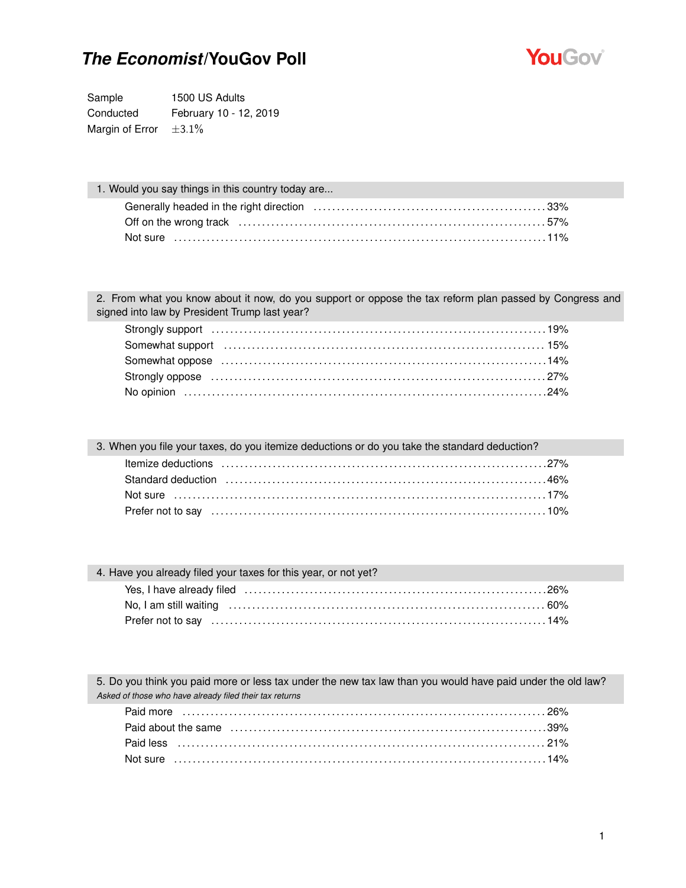

Sample 1500 US Adults Conducted February 10 - 12, 2019 Margin of Error  $\pm 3.1\%$ 

| 1. Would you say things in this country today are |  |
|---------------------------------------------------|--|
|                                                   |  |
|                                                   |  |
|                                                   |  |

2. From what you know about it now, do you support or oppose the tax reform plan passed by Congress and signed into law by President Trump last year?

3. When you file your taxes, do you itemize deductions or do you take the standard deduction?

| Standard deduction (and according to the state of the standard deduction of the state of the state of the standard standard standard state of the state of the state of the state of the state of the state of the state of th |  |
|--------------------------------------------------------------------------------------------------------------------------------------------------------------------------------------------------------------------------------|--|
|                                                                                                                                                                                                                                |  |
|                                                                                                                                                                                                                                |  |
|                                                                                                                                                                                                                                |  |

| 4. Have you already filed your taxes for this year, or not yet? |  |
|-----------------------------------------------------------------|--|
|                                                                 |  |
|                                                                 |  |
|                                                                 |  |
|                                                                 |  |

5. Do you think you paid more or less tax under the new tax law than you would have paid under the old law? *Asked of those who have already filed their tax returns*

| Paid less (a) and the set of the set of the set of the set of the set of the set of the set of the set of the set of the set of the set of the set of the set of the set of the set of the set of the set of the set of the se |  |
|--------------------------------------------------------------------------------------------------------------------------------------------------------------------------------------------------------------------------------|--|
|                                                                                                                                                                                                                                |  |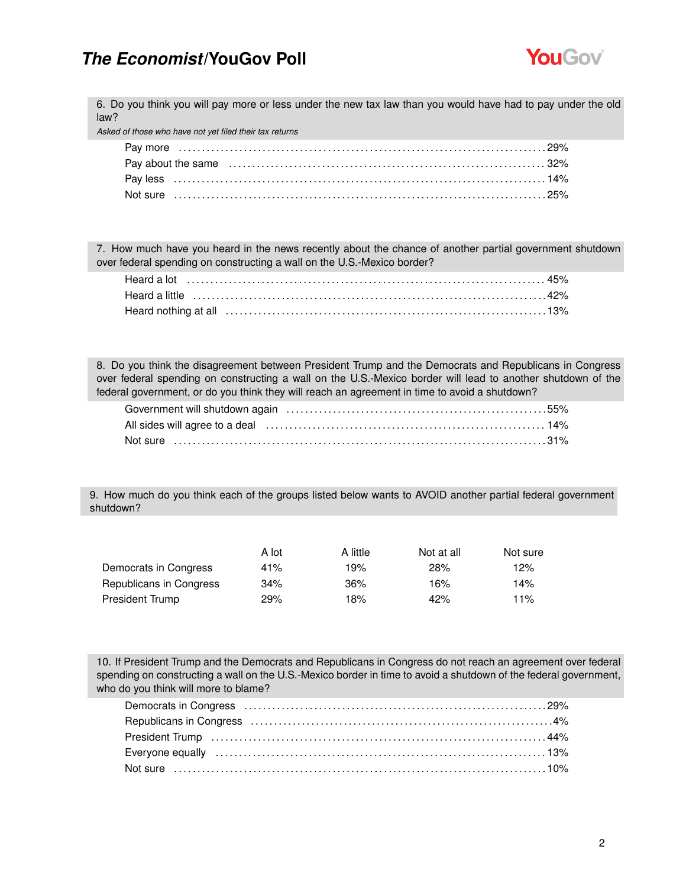

6. Do you think you will pay more or less under the new tax law than you would have had to pay under the old law?

*Asked of those who have not yet filed their tax returns*

| Pay about the same (a) contained a state of the same contained a state of the same of the same contained a state of the same state of the same state of the same state of the state of the state of the state of the state of |  |
|-------------------------------------------------------------------------------------------------------------------------------------------------------------------------------------------------------------------------------|--|
|                                                                                                                                                                                                                               |  |
|                                                                                                                                                                                                                               |  |

7. How much have you heard in the news recently about the chance of another partial government shutdown over federal spending on constructing a wall on the U.S.-Mexico border?

8. Do you think the disagreement between President Trump and the Democrats and Republicans in Congress over federal spending on constructing a wall on the U.S.-Mexico border will lead to another shutdown of the federal government, or do you think they will reach an agreement in time to avoid a shutdown?

9. How much do you think each of the groups listed below wants to AVOID another partial federal government shutdown?

|                         | A lot | A little | Not at all | Not sure |
|-------------------------|-------|----------|------------|----------|
| Democrats in Congress   | 41%   | 19%      | 28%        | 12%      |
| Republicans in Congress | 34%   | 36%      | 16%        | 14%      |
| President Trump         | 29%   | 18%      | 42%        | 11%      |

10. If President Trump and the Democrats and Republicans in Congress do not reach an agreement over federal spending on constructing a wall on the U.S.-Mexico border in time to avoid a shutdown of the federal government, who do you think will more to blame?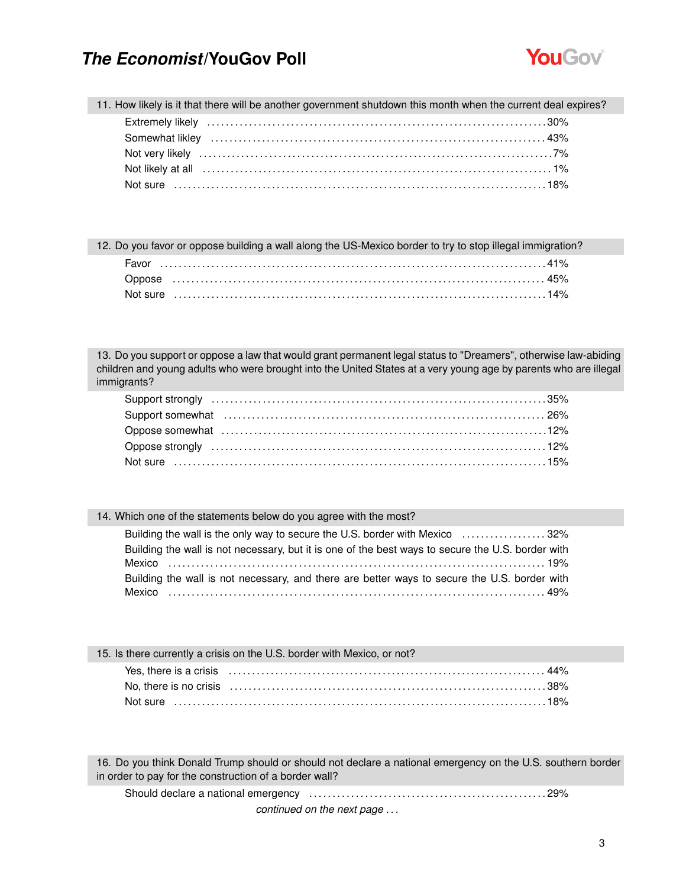

11. How likely is it that there will be another government shutdown this month when the current deal expires?

| 12. Do you favor or oppose building a wall along the US-Mexico border to try to stop illegal immigration? |  |
|-----------------------------------------------------------------------------------------------------------|--|
|                                                                                                           |  |
|                                                                                                           |  |
|                                                                                                           |  |

13. Do you support or oppose a law that would grant permanent legal status to "Dreamers", otherwise law-abiding children and young adults who were brought into the United States at a very young age by parents who are illegal immigrants?

#### 14. Which one of the statements below do you agree with the most?

| Building the wall is the only way to secure the U.S. border with Mexico 32%                       |  |
|---------------------------------------------------------------------------------------------------|--|
| Building the wall is not necessary, but it is one of the best ways to secure the U.S. border with |  |
|                                                                                                   |  |
| Building the wall is not necessary, and there are better ways to secure the U.S. border with      |  |
|                                                                                                   |  |

| 15. Is there currently a crisis on the U.S. border with Mexico, or not? |  |
|-------------------------------------------------------------------------|--|
|                                                                         |  |
|                                                                         |  |
|                                                                         |  |

16. Do you think Donald Trump should or should not declare a national emergency on the U.S. southern border in order to pay for the construction of a border wall?

Should declare a national emergency . . . . . . . . . . . . . . . . . . . . . . . . . . . . . . . . . . . . . . . . . . . . . . . . . . . 29%

*continued on the next page . . .*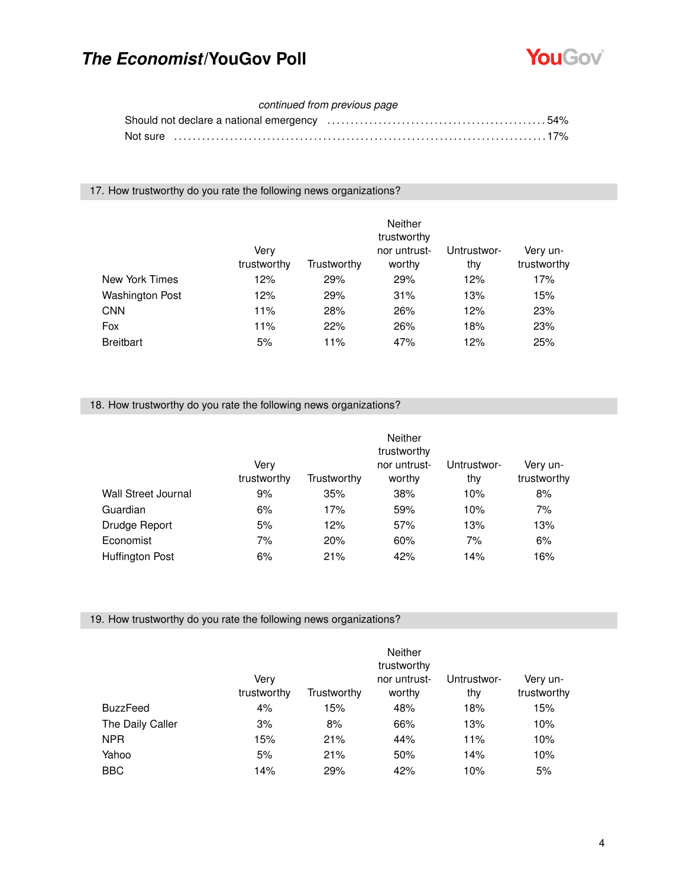

#### *continued from previous page*

| Not sure …………………………………………………………………………………17% |  |
|---------------------------------------------|--|

17. How trustworthy do you rate the following news organizations?

|                        | Very<br>trustworthy | Trustworthy | <b>Neither</b><br>trustworthy<br>nor untrust-<br>worthy | Untrustwor-<br>thy | Very un-<br>trustworthy |
|------------------------|---------------------|-------------|---------------------------------------------------------|--------------------|-------------------------|
| New York Times         | 12%                 | 29%         | 29%                                                     | 12%                | 17%                     |
| <b>Washington Post</b> | 12%                 | 29%         | 31%                                                     | 13%                | 15%                     |
| <b>CNN</b>             | 11%                 | 28%         | 26%                                                     | 12%                | 23%                     |
| Fox                    | 11%                 | 22%         | 26%                                                     | 18%                | 23%                     |
| <b>Breitbart</b>       | 5%                  | 11%         | 47%                                                     | 12%                | 25%                     |

#### 18. How trustworthy do you rate the following news organizations?

|                        | Verv<br>trustworthy | Trustworthy | <b>Neither</b><br>trustworthy<br>nor untrust-<br>worthy | Untrustwor-<br>thy | Very un-<br>trustworthy |
|------------------------|---------------------|-------------|---------------------------------------------------------|--------------------|-------------------------|
| Wall Street Journal    | 9%                  | 35%         | 38%                                                     | 10%                | 8%                      |
| Guardian               | 6%                  | 17%         | 59%                                                     | 10%                | 7%                      |
| Drudge Report          | 5%                  | 12%         | 57%                                                     | 13%                | 13%                     |
| Economist              | 7%                  | 20%         | 60%                                                     | 7%                 | 6%                      |
| <b>Huffington Post</b> | 6%                  | 21%         | 42%                                                     | 14%                | 16%                     |

19. How trustworthy do you rate the following news organizations?

|                  | Very<br>trustworthy | Trustworthy | Neither<br>trustworthy<br>nor untrust-<br>worthy | Untrustwor-<br>thy | Very un-<br>trustworthy |
|------------------|---------------------|-------------|--------------------------------------------------|--------------------|-------------------------|
| <b>BuzzFeed</b>  | 4%                  | 15%         | 48%                                              | 18%                | 15%                     |
| The Daily Caller | 3%                  | 8%          | 66%                                              | 13%                | 10%                     |
| <b>NPR</b>       | 15%                 | 21%         | 44%                                              | 11%                | 10%                     |
| Yahoo            | 5%                  | 21%         | 50%                                              | 14%                | 10%                     |
| BBC              | 14%                 | 29%         | 42%                                              | 10%                | 5%                      |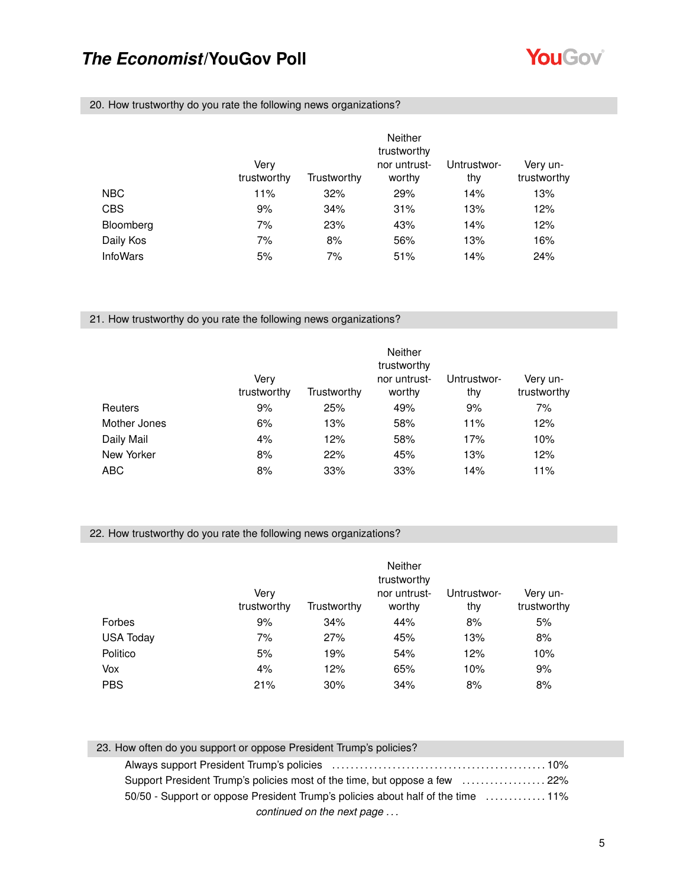

20. How trustworthy do you rate the following news organizations?

|                 | Very<br>trustworthy | Trustworthy | <b>Neither</b><br>trustworthy<br>nor untrust-<br>worthy | Untrustwor-<br>thy | Very un-<br>trustworthy |
|-----------------|---------------------|-------------|---------------------------------------------------------|--------------------|-------------------------|
| NBC             | 11%                 | 32%         | 29%                                                     | 14%                | 13%                     |
| <b>CBS</b>      | 9%                  | 34%         | 31%                                                     | 13%                | 12%                     |
| Bloomberg       | 7%                  | 23%         | 43%                                                     | 14%                | 12%                     |
| Daily Kos       | 7%                  | 8%          | 56%                                                     | 13%                | 16%                     |
| <b>InfoWars</b> | 5%                  | 7%          | 51%                                                     | 14%                | 24%                     |

21. How trustworthy do you rate the following news organizations?

|                | Very<br>trustworthy | Trustworthy | <b>Neither</b><br>trustworthy<br>nor untrust-<br>worthy | Untrustwor-<br>thy | Very un-<br>trustworthy |
|----------------|---------------------|-------------|---------------------------------------------------------|--------------------|-------------------------|
| <b>Reuters</b> | 9%                  | 25%         | 49%                                                     | 9%                 | 7%                      |
| Mother Jones   | 6%                  | 13%         | 58%                                                     | 11%                | 12%                     |
| Daily Mail     | 4%                  | 12%         | 58%                                                     | 17%                | 10%                     |
| New Yorker     | 8%                  | 22%         | 45%                                                     | 13%                | 12%                     |
| ABC            | 8%                  | 33%         | 33%                                                     | 14%                | 11%                     |

#### 22. How trustworthy do you rate the following news organizations?

|                  | Very<br>trustworthy | Trustworthy | Neither<br>trustworthy<br>nor untrust-<br>worthy | Untrustwor-<br>thy | Very un-<br>trustworthy |
|------------------|---------------------|-------------|--------------------------------------------------|--------------------|-------------------------|
| Forbes           | 9%                  | 34%         | 44%                                              | 8%                 | 5%                      |
| <b>USA Today</b> | 7%                  | 27%         | 45%                                              | 13%                | 8%                      |
| Politico         | 5%                  | 19%         | 54%                                              | 12%                | 10%                     |
| Vox              | 4%                  | 12%         | 65%                                              | 10%                | 9%                      |
| <b>PBS</b>       | 21%                 | 30%         | 34%                                              | 8%                 | 8%                      |

| 23. How often do you support or oppose President Trump's policies?              |  |
|---------------------------------------------------------------------------------|--|
|                                                                                 |  |
| Support President Trump's policies most of the time, but oppose a few 22%       |  |
| 50/50 - Support or oppose President Trump's policies about half of the time 11% |  |
| continued on the next page                                                      |  |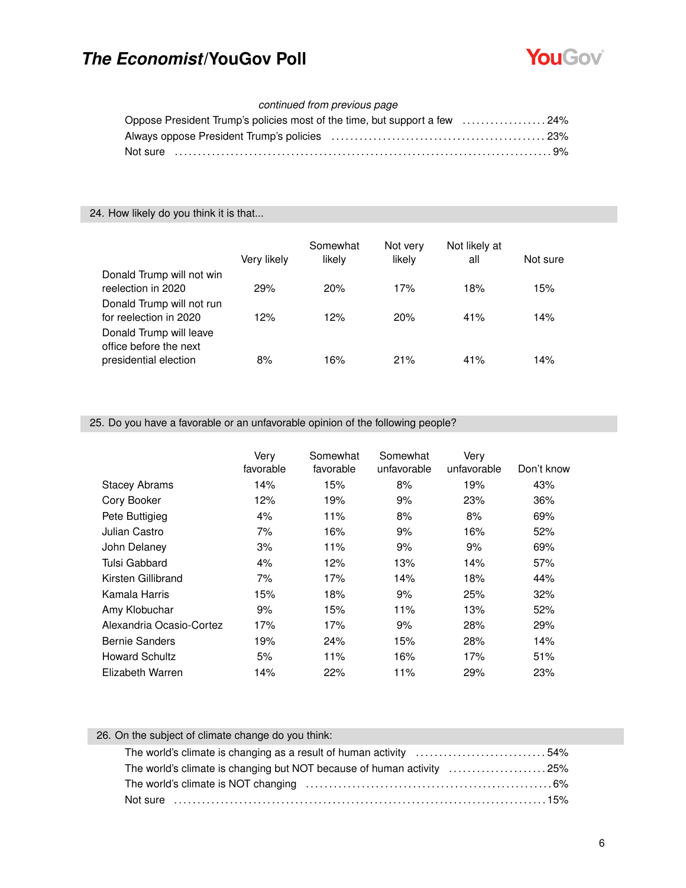

#### *continued from previous page*

| Oppose President Trump's policies most of the time, but support a few 24% |  |
|---------------------------------------------------------------------------|--|
|                                                                           |  |
|                                                                           |  |

#### 24. How likely do you think it is that...

|                                                                            | Very likely | Somewhat<br>likely | Not very<br>likely | Not likely at<br>all | Not sure |
|----------------------------------------------------------------------------|-------------|--------------------|--------------------|----------------------|----------|
| Donald Trump will not win<br>reelection in 2020                            | 29%         | 20%                | 17%                | 18%                  | 15%      |
| Donald Trump will not run<br>for reelection in 2020                        | 12%         | 12%                | 20%                | 41%                  | 14%      |
| Donald Trump will leave<br>office before the next<br>presidential election | 8%          | 16%                | 21%                | 41%                  | 14%      |

#### 25. Do you have a favorable or an unfavorable opinion of the following people?

|                          | Very<br>favorable | Somewhat<br>favorable | Somewhat<br>unfavorable | Very<br>unfavorable | Don't know |
|--------------------------|-------------------|-----------------------|-------------------------|---------------------|------------|
| <b>Stacey Abrams</b>     | 14%               | 15%                   | 8%                      | 19%                 | 43%        |
| Cory Booker              | 12%               | 19%                   | 9%                      | 23%                 | 36%        |
| Pete Buttigieg           | 4%                | 11%                   | 8%                      | 8%                  | 69%        |
| Julian Castro            | 7%                | 16%                   | 9%                      | 16%                 | 52%        |
| John Delaney             | 3%                | 11%                   | 9%                      | 9%                  | 69%        |
| Tulsi Gabbard            | 4%                | 12%                   | 13%                     | 14%                 | 57%        |
| Kirsten Gillibrand       | 7%                | 17%                   | 14%                     | 18%                 | 44%        |
| Kamala Harris            | 15%               | 18%                   | 9%                      | 25%                 | 32%        |
| Amy Klobuchar            | 9%                | 15%                   | 11%                     | 13%                 | 52%        |
| Alexandria Ocasio-Cortez | 17%               | 17%                   | 9%                      | 28%                 | 29%        |
| <b>Bernie Sanders</b>    | 19%               | 24%                   | 15%                     | 28%                 | 14%        |
| <b>Howard Schultz</b>    | 5%                | 11%                   | 16%                     | 17%                 | 51%        |
| Elizabeth Warren         | 14%               | 22%                   | 11%                     | 29%                 | 23%        |

### 26. On the subject of climate change do you think:

| The world's climate is changing as a result of human activity 54%     |  |
|-----------------------------------------------------------------------|--|
| The world's climate is changing but NOT because of human activity 25% |  |
|                                                                       |  |
|                                                                       |  |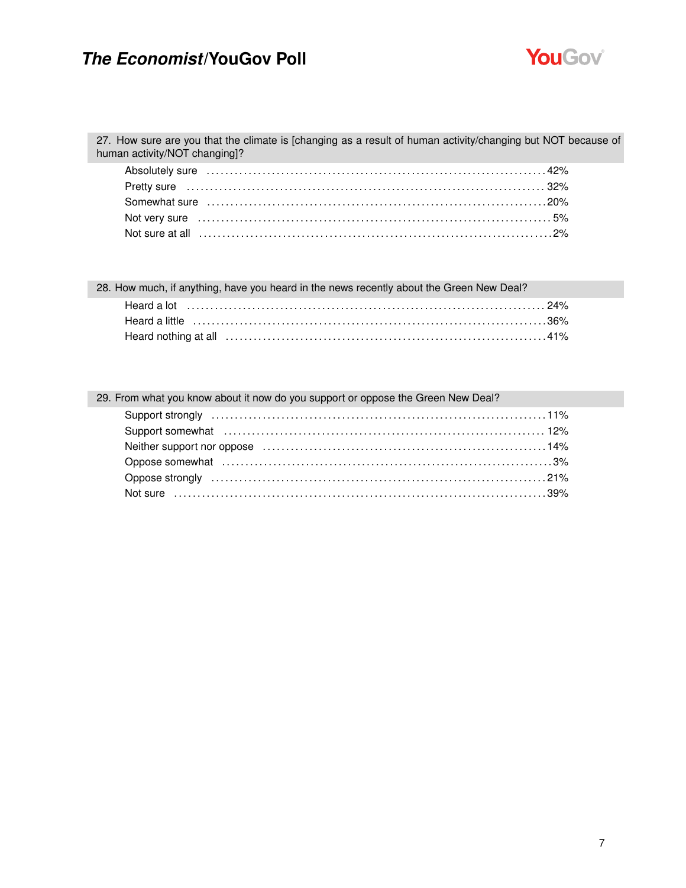

27. How sure are you that the climate is [changing as a result of human activity/changing but NOT because of human activity/NOT changing]?

28. How much, if anything, have you heard in the news recently about the Green New Deal?

| 29. From what you know about it now do you support or oppose the Green New Deal?               |
|------------------------------------------------------------------------------------------------|
|                                                                                                |
|                                                                                                |
| Neither support nor oppose <i>manumanous content and setting the support</i> nor oppose $14\%$ |
|                                                                                                |
|                                                                                                |
|                                                                                                |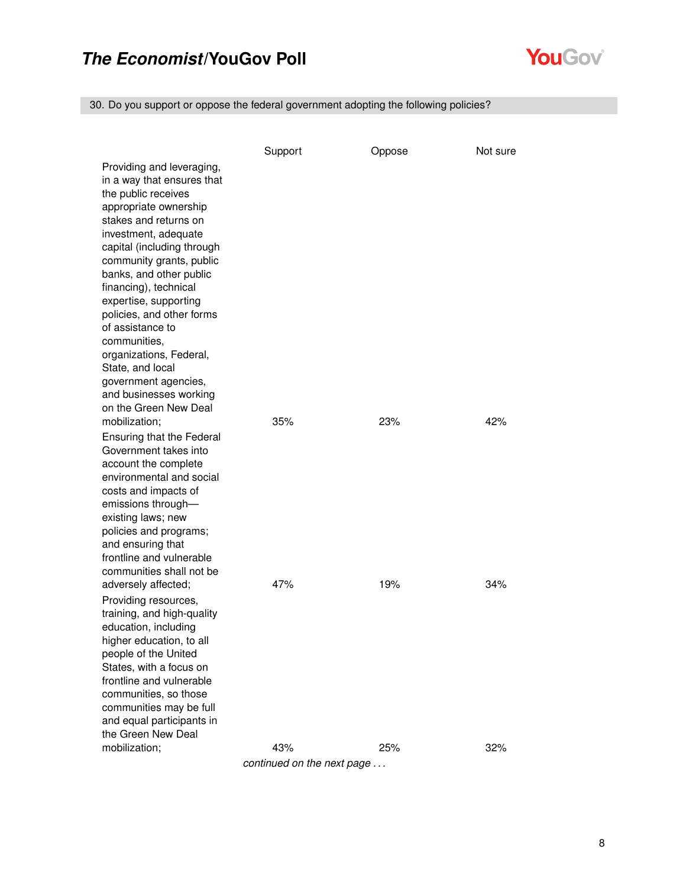

30. Do you support or oppose the federal government adopting the following policies?

|                                                                                                                                                                                                                                                                                                                                                                                                                                                                                            | Support | Oppose | Not sure |
|--------------------------------------------------------------------------------------------------------------------------------------------------------------------------------------------------------------------------------------------------------------------------------------------------------------------------------------------------------------------------------------------------------------------------------------------------------------------------------------------|---------|--------|----------|
| Providing and leveraging,<br>in a way that ensures that<br>the public receives<br>appropriate ownership<br>stakes and returns on<br>investment, adequate<br>capital (including through<br>community grants, public<br>banks, and other public<br>financing), technical<br>expertise, supporting<br>policies, and other forms<br>of assistance to<br>communities,<br>organizations, Federal,<br>State, and local<br>government agencies,<br>and businesses working<br>on the Green New Deal |         |        |          |
| mobilization;                                                                                                                                                                                                                                                                                                                                                                                                                                                                              | 35%     | 23%    | 42%      |
| Ensuring that the Federal<br>Government takes into<br>account the complete<br>environmental and social<br>costs and impacts of<br>emissions through-<br>existing laws; new<br>policies and programs;<br>and ensuring that<br>frontline and vulnerable<br>communities shall not be                                                                                                                                                                                                          |         |        |          |
| adversely affected;                                                                                                                                                                                                                                                                                                                                                                                                                                                                        | 47%     | 19%    | 34%      |
| Providing resources,<br>training, and high-quality<br>education, including<br>higher education, to all<br>people of the United<br>States, with a focus on<br>frontline and vulnerable<br>communities, so those<br>communities may be full<br>and equal participants in<br>the Green New Deal                                                                                                                                                                                               |         |        |          |
| mobilization;                                                                                                                                                                                                                                                                                                                                                                                                                                                                              | 43%     | 25%    | 32%      |

*continued on the next page . . .*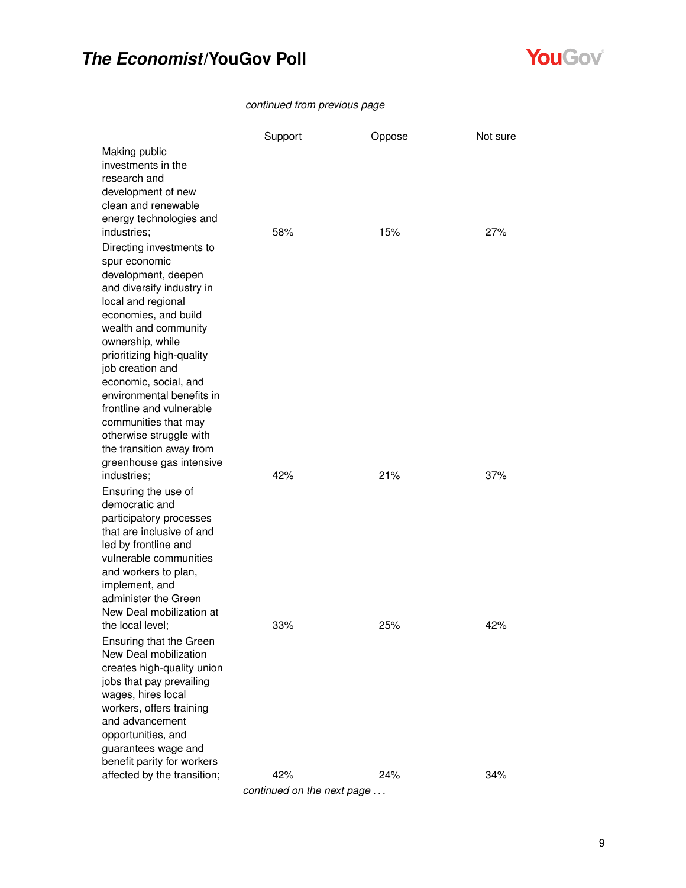

#### *continued from previous page*

|                                                                                                                                                                                                                                                                                                                                                                                                                                                                                 | Support    | Oppose     | Not sure   |
|---------------------------------------------------------------------------------------------------------------------------------------------------------------------------------------------------------------------------------------------------------------------------------------------------------------------------------------------------------------------------------------------------------------------------------------------------------------------------------|------------|------------|------------|
| Making public<br>investments in the<br>research and<br>development of new<br>clean and renewable                                                                                                                                                                                                                                                                                                                                                                                |            |            |            |
| energy technologies and<br>industries;<br>Directing investments to<br>spur economic<br>development, deepen<br>and diversify industry in<br>local and regional<br>economies, and build<br>wealth and community<br>ownership, while<br>prioritizing high-quality<br>job creation and<br>economic, social, and<br>environmental benefits in<br>frontline and vulnerable<br>communities that may<br>otherwise struggle with<br>the transition away from<br>greenhouse gas intensive | 58%        | 15%        | 27%        |
| industries;<br>Ensuring the use of<br>democratic and<br>participatory processes<br>that are inclusive of and<br>led by frontline and<br>vulnerable communities<br>and workers to plan,<br>implement, and<br>administer the Green<br>New Deal mobilization at                                                                                                                                                                                                                    | 42%        | 21%        | 37%        |
| the local level;<br>Ensuring that the Green<br>New Deal mobilization<br>creates high-quality union<br>jobs that pay prevailing<br>wages, hires local<br>workers, offers training<br>and advancement<br>opportunities, and<br>guarantees wage and<br>benefit parity for workers<br>affected by the transition;                                                                                                                                                                   | 33%<br>42% | 25%<br>24% | 42%<br>34% |

*continued on the next page . . .*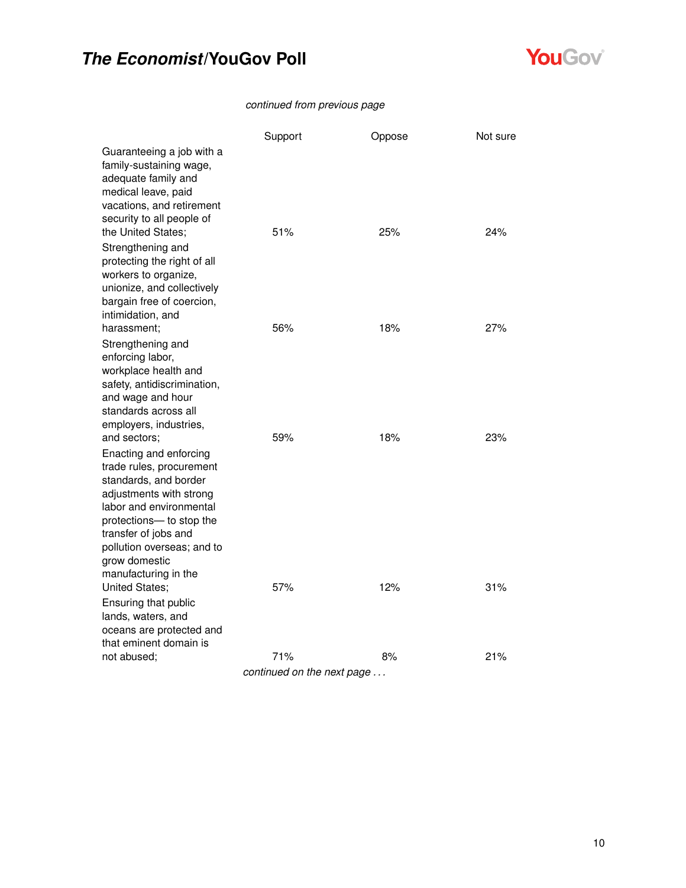

#### *continued from previous page*

|                                                                                                                                                                                                                                                                              | Support                    | Oppose | Not sure |
|------------------------------------------------------------------------------------------------------------------------------------------------------------------------------------------------------------------------------------------------------------------------------|----------------------------|--------|----------|
| Guaranteeing a job with a<br>family-sustaining wage,<br>adequate family and<br>medical leave, paid<br>vacations, and retirement<br>security to all people of<br>the United States;                                                                                           | 51%                        | 25%    | 24%      |
| Strengthening and<br>protecting the right of all<br>workers to organize,<br>unionize, and collectively<br>bargain free of coercion,<br>intimidation, and<br>harassment:                                                                                                      | 56%                        | 18%    | 27%      |
| Strengthening and                                                                                                                                                                                                                                                            |                            |        |          |
| enforcing labor,<br>workplace health and<br>safety, antidiscrimination,<br>and wage and hour<br>standards across all<br>employers, industries,                                                                                                                               |                            |        |          |
| and sectors;<br>Enacting and enforcing<br>trade rules, procurement<br>standards, and border<br>adjustments with strong<br>labor and environmental<br>protections- to stop the<br>transfer of jobs and<br>pollution overseas; and to<br>grow domestic<br>manufacturing in the | 59%                        | 18%    | 23%      |
| United States;<br>Ensuring that public<br>lands, waters, and<br>oceans are protected and<br>that eminent domain is                                                                                                                                                           | 57%                        | 12%    | 31%      |
| not abused;                                                                                                                                                                                                                                                                  | 71%                        | 8%     | 21%      |
|                                                                                                                                                                                                                                                                              | continued on the novt nogo |        |          |

*continued on the next page . . .*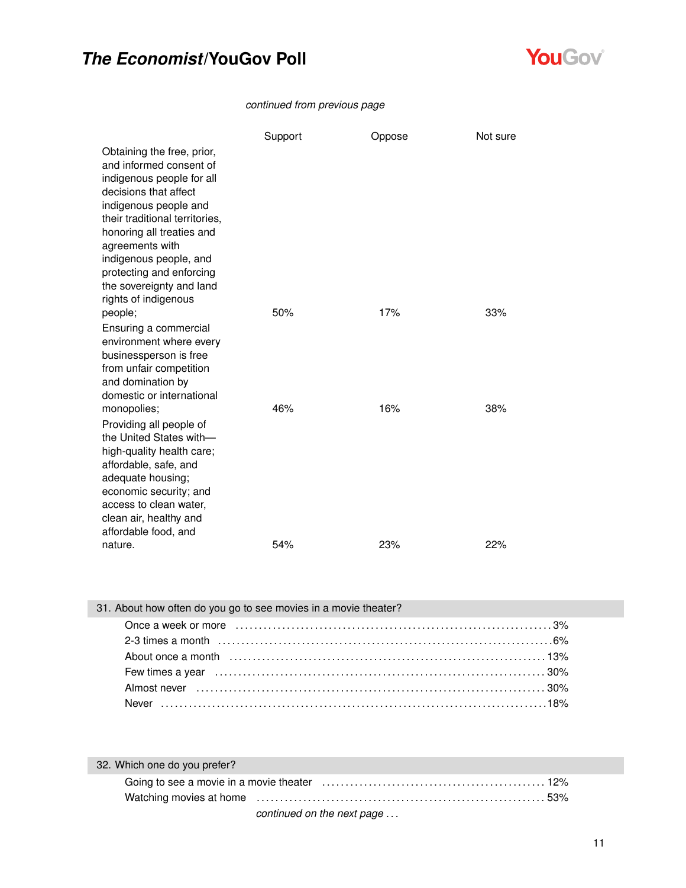

#### *continued from previous page*

|                                                                                                                                                                                                                                                                                                          | Support | Oppose | Not sure |
|----------------------------------------------------------------------------------------------------------------------------------------------------------------------------------------------------------------------------------------------------------------------------------------------------------|---------|--------|----------|
| Obtaining the free, prior,<br>and informed consent of<br>indigenous people for all<br>decisions that affect<br>indigenous people and<br>their traditional territories,<br>honoring all treaties and<br>agreements with<br>indigenous people, and<br>protecting and enforcing<br>the sovereignty and land |         |        |          |
| rights of indigenous<br>people;                                                                                                                                                                                                                                                                          | 50%     | 17%    | 33%      |
| Ensuring a commercial<br>environment where every<br>businessperson is free<br>from unfair competition<br>and domination by<br>domestic or international                                                                                                                                                  |         |        |          |
| monopolies;<br>Providing all people of<br>the United States with-<br>high-quality health care;<br>affordable, safe, and<br>adequate housing;<br>economic security; and<br>access to clean water,<br>clean air, healthy and<br>affordable food, and                                                       | 46%     | 16%    | 38%      |
| nature.                                                                                                                                                                                                                                                                                                  | 54%     | 23%    | 22%      |

| 31. About how often do you go to see movies in a movie theater?                                                              |  |
|------------------------------------------------------------------------------------------------------------------------------|--|
|                                                                                                                              |  |
|                                                                                                                              |  |
|                                                                                                                              |  |
| Few times a year (a) $\ldots$ and $\ldots$ and $\ldots$ are $\ldots$ and $\ldots$ are $\ldots$ and $\ldots$ and $\ldots$ 30% |  |
|                                                                                                                              |  |
|                                                                                                                              |  |

| 32. Which one do you prefer?                                                                                                                                                                                                   |  |
|--------------------------------------------------------------------------------------------------------------------------------------------------------------------------------------------------------------------------------|--|
|                                                                                                                                                                                                                                |  |
| Watching movies at home mature in the content of the content of the state of the state of the state of the state of the state of the state of the state of the state of the state of the state of the state of the state of th |  |
| continued on the next page                                                                                                                                                                                                     |  |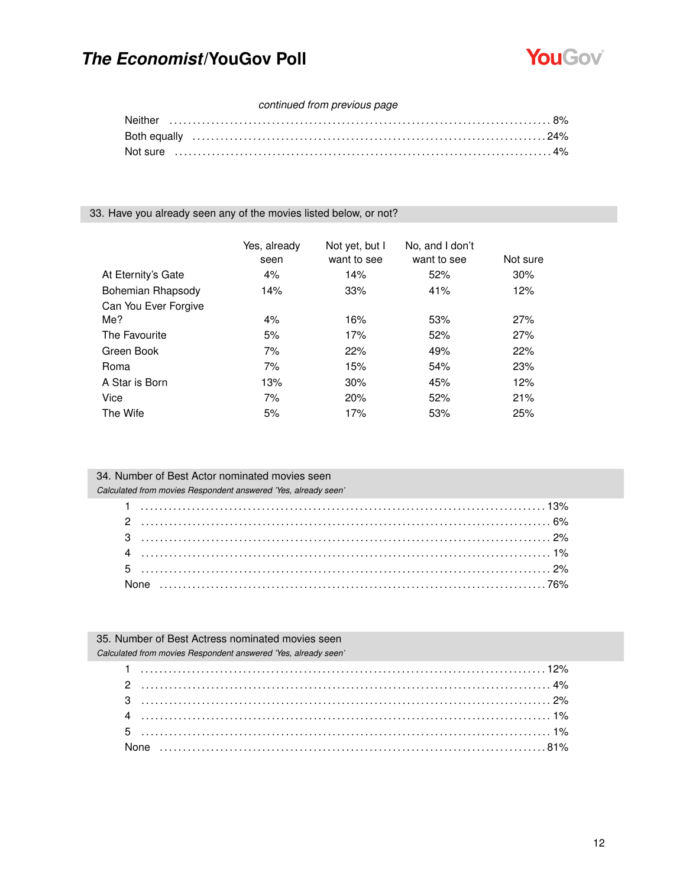

#### continued from previous page

33. Have you already seen any of the movies listed below, or not?

|                      | Yes, already<br>seen | Not yet, but I<br>want to see | No. and I don't<br>want to see | Not sure |
|----------------------|----------------------|-------------------------------|--------------------------------|----------|
| At Eternity's Gate   | 4%                   | 14%                           | 52%                            | 30%      |
| Bohemian Rhapsody    | 14%                  | 33%                           | 41%                            | 12%      |
| Can You Ever Forgive |                      |                               |                                |          |
| Me?                  | 4%                   | 16%                           | 53%                            | 27%      |
| The Favourite        | 5%                   | 17%                           | 52%                            | 27%      |
| Green Book           | 7%                   | 22%                           | 49%                            | 22%      |
| Roma                 | 7%                   | 15%                           | 54%                            | 23%      |
| A Star is Born       | 13%                  | 30%                           | 45%                            | 12%      |
| Vice                 | 7%                   | 20%                           | 52%                            | 21%      |
| The Wife             | 5%                   | 17%                           | 53%                            | 25%      |

| 34. Number of Best Actor nominated movies seen                 |
|----------------------------------------------------------------|
| Calculated from movies Respondent answered 'Yes, already seen' |
|                                                                |
|                                                                |
|                                                                |
|                                                                |
|                                                                |
|                                                                |

35. Number of Best Actress nominated movies seen Calculated from movies Respondent answered 'Yes, already seen'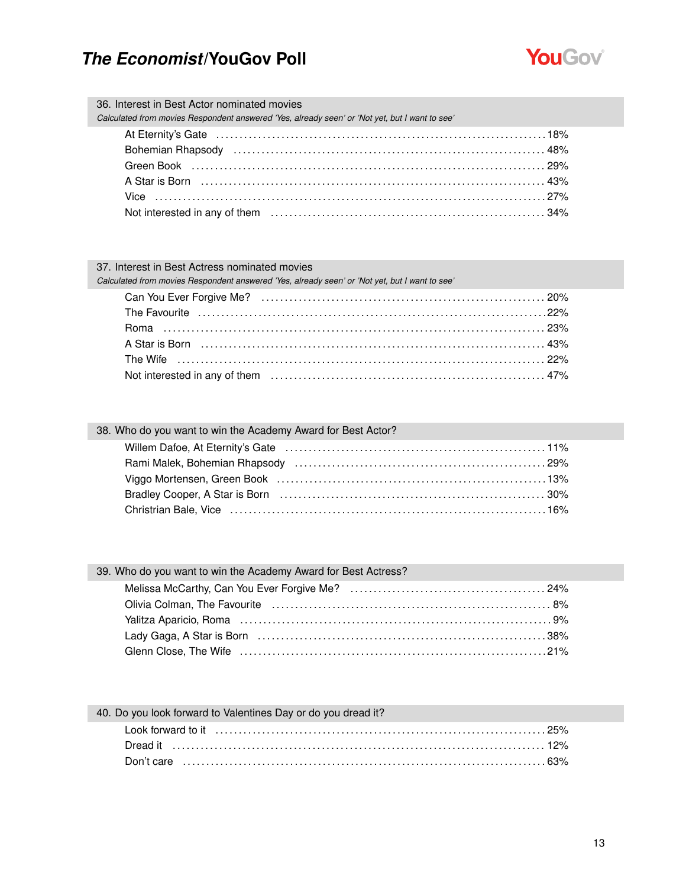

| 36. Interest in Best Actor nominated movies<br>Calculated from movies Respondent answered 'Yes, already seen' or 'Not yet, but I want to see'                                                                                  |  |
|--------------------------------------------------------------------------------------------------------------------------------------------------------------------------------------------------------------------------------|--|
|                                                                                                                                                                                                                                |  |
| Bohemian Rhapsody (and according to the control of the state of the state of the state of the state of the state of the state of the state of the state of the state of the state of the state of the state of the state of th |  |
| Green Book (a) and the control of the control of the control of the control of the control of the control of the control of the control of the control of the control of the control of the control of the control of the cont |  |
|                                                                                                                                                                                                                                |  |
|                                                                                                                                                                                                                                |  |
|                                                                                                                                                                                                                                |  |
|                                                                                                                                                                                                                                |  |

#### 37. Interest in Best Actress nominated movies

*Calculated from movies Respondent answered 'Yes, already seen' or 'Not yet, but I want to see'*

| 38. Who do you want to win the Academy Award for Best Actor? |  |
|--------------------------------------------------------------|--|
|                                                              |  |
|                                                              |  |
|                                                              |  |
|                                                              |  |
|                                                              |  |
|                                                              |  |

#### 39. Who do you want to win the Academy Award for Best Actress?

| Olivia Colman, The Favourite (all contains and contained a strategy of the S%)             |  |
|--------------------------------------------------------------------------------------------|--|
|                                                                                            |  |
| Lady Gaga, A Star is Born (a) contained a subset of the Star Caroline and Star Star is 38% |  |
|                                                                                            |  |

| 40. Do you look forward to Valentines Day or do you dread it? |
|---------------------------------------------------------------|
|                                                               |
|                                                               |
|                                                               |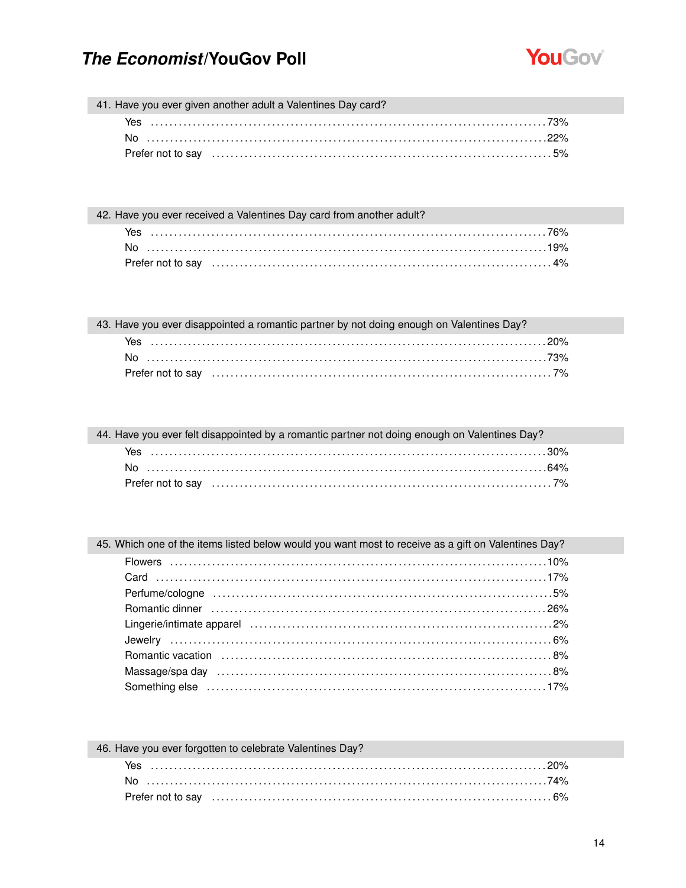L



41. Have you ever given another adult a Valentines Day card?

| Yes |                                                                                                                                                                                                                                |
|-----|--------------------------------------------------------------------------------------------------------------------------------------------------------------------------------------------------------------------------------|
| No  |                                                                                                                                                                                                                                |
|     | Prefer not to say encourance contained the state of the state of the state of the state of the state of the state of the state of the state of the state of the state of the state of the state of the state of the state of t |

42. Have you ever received a Valentines Day card from another adult?

| Yes                                                                                                             |  |
|-----------------------------------------------------------------------------------------------------------------|--|
|                                                                                                                 |  |
| Prefer not to say expressional contract to say and set of the set of the set of the set of the set of the set o |  |

| 43. Have you ever disappointed a romantic partner by not doing enough on Valentines Day? |
|------------------------------------------------------------------------------------------|
|                                                                                          |
|                                                                                          |
|                                                                                          |

| 44. Have you ever felt disappointed by a romantic partner not doing enough on Valentines Day? |  |
|-----------------------------------------------------------------------------------------------|--|
|                                                                                               |  |
|                                                                                               |  |
|                                                                                               |  |

| 45. Which one of the items listed below would you want most to receive as a gift on Valentines Day? |  |
|-----------------------------------------------------------------------------------------------------|--|
|                                                                                                     |  |
|                                                                                                     |  |
|                                                                                                     |  |
|                                                                                                     |  |
|                                                                                                     |  |
|                                                                                                     |  |
|                                                                                                     |  |
|                                                                                                     |  |
|                                                                                                     |  |

| 46. Have you ever forgotten to celebrate Valentines Day? |
|----------------------------------------------------------|
|                                                          |
|                                                          |
|                                                          |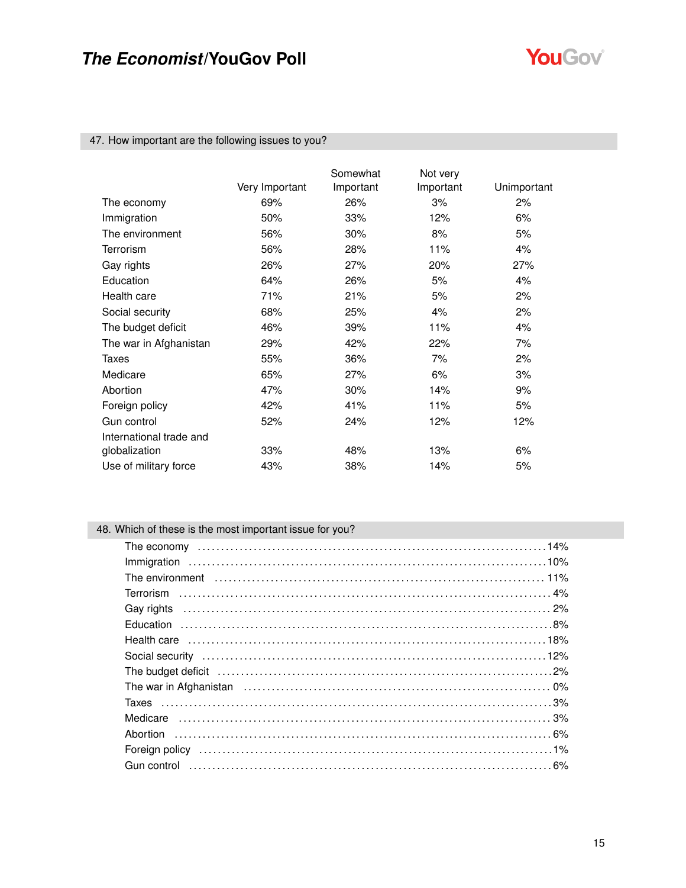

#### 47. How important are the following issues to you?

|                         | Very Important | Somewhat<br>Important | Not very<br>Important | Unimportant |
|-------------------------|----------------|-----------------------|-----------------------|-------------|
| The economy             | 69%            | 26%                   | 3%                    | 2%          |
| Immigration             | 50%            | 33%                   | 12%                   | 6%          |
| The environment         | 56%            | 30%                   | 8%                    | 5%          |
| Terrorism               | 56%            | 28%                   | 11%                   | 4%          |
| Gay rights              | 26%            | 27%                   | 20%                   | 27%         |
| Education               | 64%            | 26%                   | 5%                    | 4%          |
| Health care             | 71%            | 21%                   | 5%                    | 2%          |
| Social security         | 68%            | 25%                   | 4%                    | 2%          |
| The budget deficit      | 46%            | 39%                   | 11%                   | 4%          |
| The war in Afghanistan  | 29%            | 42%                   | 22%                   | 7%          |
| Taxes                   | 55%            | 36%                   | 7%                    | 2%          |
| Medicare                | 65%            | 27%                   | 6%                    | 3%          |
| Abortion                | 47%            | 30%                   | 14%                   | 9%          |
| Foreign policy          | 42%            | 41%                   | 11%                   | 5%          |
| Gun control             | 52%            | 24%                   | 12%                   | 12%         |
| International trade and |                |                       |                       |             |
| globalization           | 33%            | 48%                   | 13%                   | 6%          |
| Use of military force   | 43%            | 38%                   | 14%                   | 5%          |

### 48. Which of these is the most important issue for you?

| The environment (and the contract of the contract of the environment of the environment of the environment of the environment of the environment of the environment of the environment of the environment of the environment o |  |
|--------------------------------------------------------------------------------------------------------------------------------------------------------------------------------------------------------------------------------|--|
|                                                                                                                                                                                                                                |  |
|                                                                                                                                                                                                                                |  |
|                                                                                                                                                                                                                                |  |
|                                                                                                                                                                                                                                |  |
|                                                                                                                                                                                                                                |  |
| The budget deficit (and according continuous control of the budget deficit (and according control of the budget deficit (and $2\%$ )                                                                                           |  |
|                                                                                                                                                                                                                                |  |
|                                                                                                                                                                                                                                |  |
|                                                                                                                                                                                                                                |  |
|                                                                                                                                                                                                                                |  |
|                                                                                                                                                                                                                                |  |
|                                                                                                                                                                                                                                |  |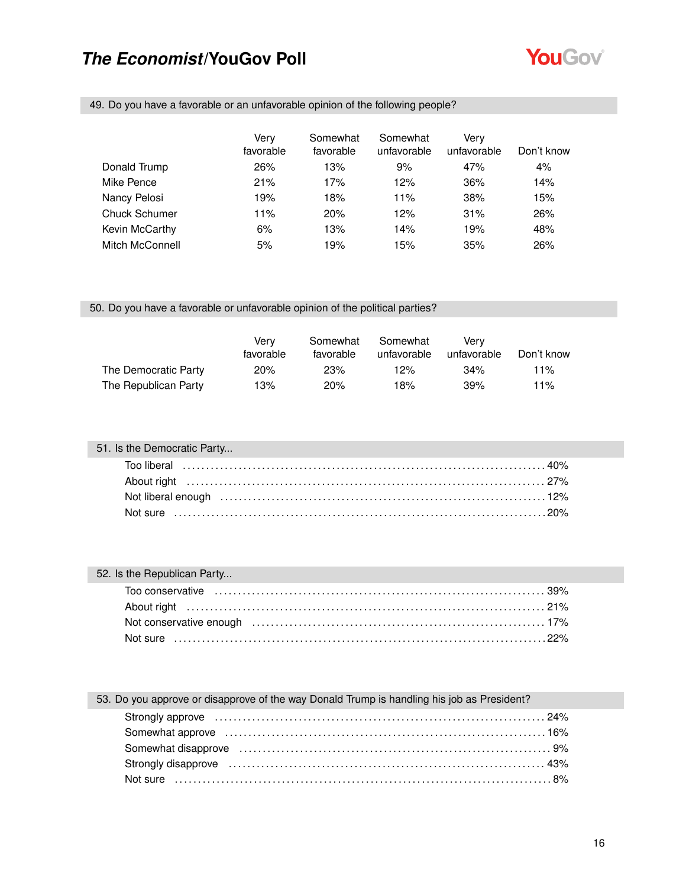

49. Do you have a favorable or an unfavorable opinion of the following people?

|                      | Verv<br>favorable | Somewhat<br>favorable | Somewhat<br>unfavorable | Very<br>unfavorable | Don't know |
|----------------------|-------------------|-----------------------|-------------------------|---------------------|------------|
| Donald Trump         | 26%               | 13%                   | 9%                      | 47%                 | 4%         |
| Mike Pence           | 21%               | 17%                   | 12%                     | 36%                 | 14%        |
| Nancy Pelosi         | 19%               | 18%                   | 11%                     | 38%                 | 15%        |
| <b>Chuck Schumer</b> | 11%               | 20%                   | 12%                     | 31%                 | 26%        |
| Kevin McCarthy       | 6%                | 13%                   | 14%                     | 19%                 | 48%        |
| Mitch McConnell      | 5%                | 19%                   | 15%                     | 35%                 | 26%        |

#### 50. Do you have a favorable or unfavorable opinion of the political parties?

|                      | Verv<br>favorable | Somewhat<br>favorable | Somewhat<br>unfavorable | Verv<br>unfavorable | Don't know |
|----------------------|-------------------|-----------------------|-------------------------|---------------------|------------|
| The Democratic Party | 20%               | 23%                   | $12\%$                  | 34%                 | 11%        |
| The Republican Party | 13%               | 20%                   | 18%                     | 39%                 | 11%        |

| 51. Is the Democratic Party |  |
|-----------------------------|--|
|                             |  |
|                             |  |
|                             |  |
|                             |  |

| 52. Is the Republican Party |  |
|-----------------------------|--|
|                             |  |
|                             |  |
|                             |  |
|                             |  |

### 53. Do you approve or disapprove of the way Donald Trump is handling his job as President? Strongly approve . . . . . . . . . . . . . . . . . . . . . . . . . . . . . . . . . . . . . . . . . . . . . . . . . . . . . . . . . . . . . . . . . . . . . . . 24%

| Somewhat disapprove influent contain the control of the system of the system of the system of the system of the system of the system of the system of the system of the system of the system of the system of the system of th |  |
|--------------------------------------------------------------------------------------------------------------------------------------------------------------------------------------------------------------------------------|--|
| Strongly disapprove memory and the control of the strongly disapprove memory and the strongly disapprove memory and the strong strongly disapprove that the strong strong strong strong strong strong strong strong strong str |  |
|                                                                                                                                                                                                                                |  |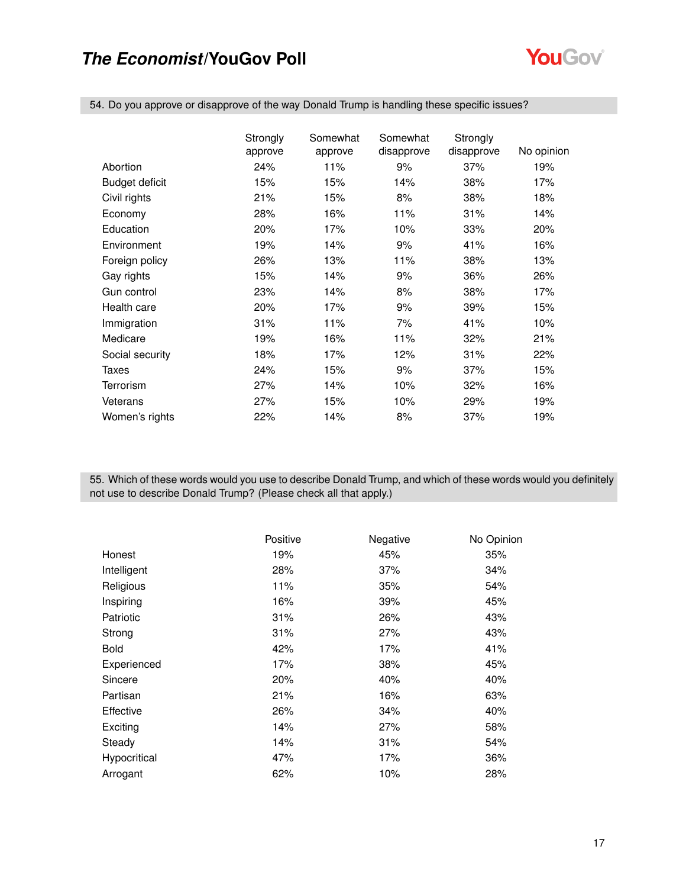

54. Do you approve or disapprove of the way Donald Trump is handling these specific issues?

|                 | Strongly | Somewhat | Somewhat<br>disapprove | Strongly<br>disapprove | No opinion |
|-----------------|----------|----------|------------------------|------------------------|------------|
|                 | approve  | approve  |                        |                        |            |
| Abortion        | 24%      | 11%      | 9%                     | 37%                    | 19%        |
| Budget deficit  | 15%      | 15%      | 14%                    | 38%                    | 17%        |
| Civil rights    | 21%      | 15%      | 8%                     | 38%                    | 18%        |
| Economy         | 28%      | 16%      | 11%                    | 31%                    | 14%        |
| Education       | 20%      | 17%      | 10%                    | 33%                    | 20%        |
| Environment     | 19%      | 14%      | 9%                     | 41%                    | 16%        |
| Foreign policy  | 26%      | 13%      | 11%                    | 38%                    | 13%        |
| Gay rights      | 15%      | 14%      | 9%                     | 36%                    | 26%        |
| Gun control     | 23%      | 14%      | 8%                     | 38%                    | 17%        |
| Health care     | 20%      | 17%      | 9%                     | 39%                    | 15%        |
| Immigration     | 31%      | 11%      | 7%                     | 41%                    | 10%        |
| Medicare        | 19%      | 16%      | 11%                    | 32%                    | 21%        |
| Social security | 18%      | 17%      | 12%                    | 31%                    | 22%        |
| Taxes           | 24%      | 15%      | 9%                     | 37%                    | 15%        |
| Terrorism       | 27%      | 14%      | 10%                    | 32%                    | 16%        |
| Veterans        | 27%      | 15%      | 10%                    | 29%                    | 19%        |
| Women's rights  | 22%      | 14%      | 8%                     | 37%                    | 19%        |

55. Which of these words would you use to describe Donald Trump, and which of these words would you definitely not use to describe Donald Trump? (Please check all that apply.)

|              | Positive | Negative | No Opinion |
|--------------|----------|----------|------------|
| Honest       | 19%      | 45%      | 35%        |
| Intelligent  | 28%      | 37%      | 34%        |
| Religious    | 11%      | 35%      | 54%        |
| Inspiring    | 16%      | 39%      | 45%        |
| Patriotic    | 31%      | 26%      | 43%        |
| Strong       | 31%      | 27%      | 43%        |
| <b>Bold</b>  | 42%      | 17%      | 41%        |
| Experienced  | 17%      | 38%      | 45%        |
| Sincere      | 20%      | 40%      | 40%        |
| Partisan     | 21%      | 16%      | 63%        |
| Effective    | 26%      | 34%      | 40%        |
| Exciting     | 14%      | 27%      | 58%        |
| Steady       | 14%      | 31%      | 54%        |
| Hypocritical | 47%      | 17%      | 36%        |
| Arrogant     | 62%      | 10%      | 28%        |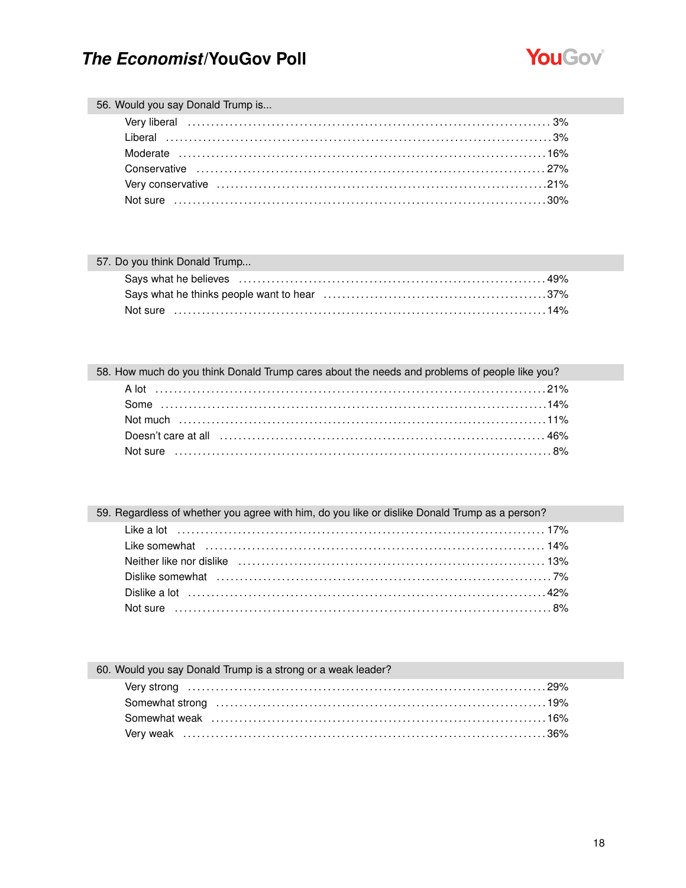

#### 56. Would you say Donald Trump is...

#### 57. Do you think Donald Trump...

### 58. How much do you think Donald Trump cares about the needs and problems of people like you?

### 59. Regardless of whether you agree with him, do you like or dislike Donald Trump as a person?

#### 60. Would you say Donald Trump is a strong or a weak leader?

| \times\mat weak \times.com/interviews/numerous-community-community-community-community-community-community-community- |  |
|-----------------------------------------------------------------------------------------------------------------------|--|
|                                                                                                                       |  |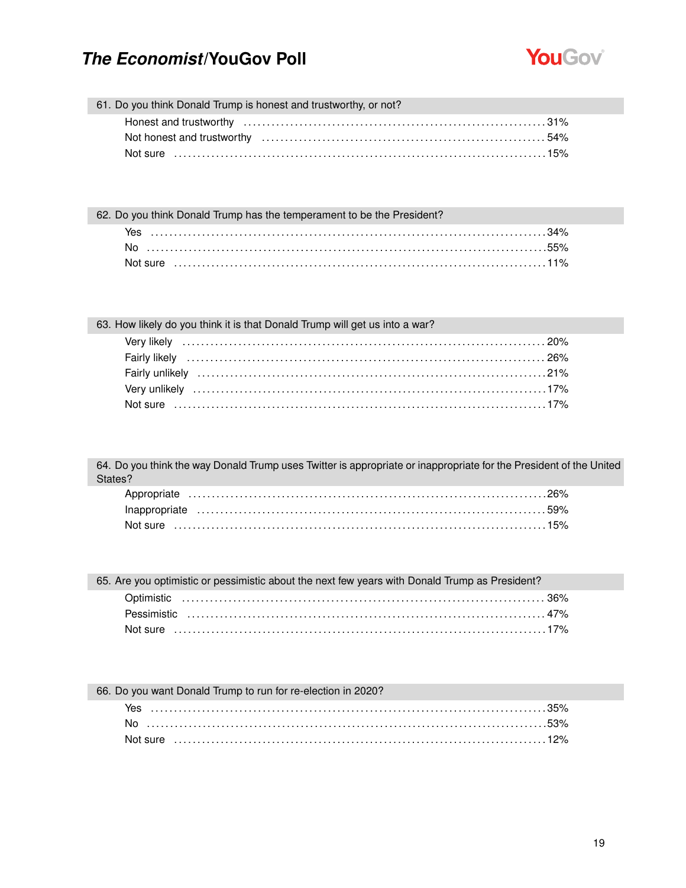

61. Do you think Donald Trump is honest and trustworthy, or not?

62. Do you think Donald Trump has the temperament to be the President?

| Yes  |  |
|------|--|
| No . |  |
|      |  |

| 63. How likely do you think it is that Donald Trump will get us into a war? |  |
|-----------------------------------------------------------------------------|--|
|-----------------------------------------------------------------------------|--|

64. Do you think the way Donald Trump uses Twitter is appropriate or inappropriate for the President of the United States?

| Not sure   ………………………………………………………………………………………15% |  |
|-------------------------------------------------|--|

65. Are you optimistic or pessimistic about the next few years with Donald Trump as President?

#### 66. Do you want Donald Trump to run for re-election in 2020?

| Yes |  |
|-----|--|
|     |  |
|     |  |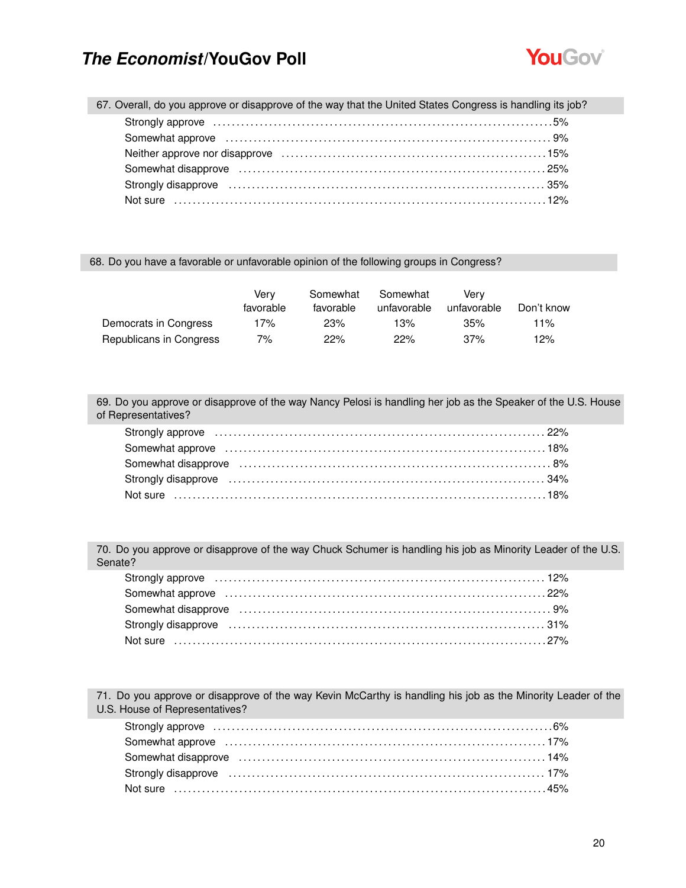

| 67. Overall, do you approve or disapprove of the way that the United States Congress is handling its job?                                                |  |
|----------------------------------------------------------------------------------------------------------------------------------------------------------|--|
| Strongly approve masses in the control of the strongly approve the control of the strongly approve the control of the strong strongly approve that $5\%$ |  |
|                                                                                                                                                          |  |
|                                                                                                                                                          |  |
|                                                                                                                                                          |  |
| Strongly disapprove encouragement and the strongly disapprove encouragement and the strongly disapprove entries                                          |  |
|                                                                                                                                                          |  |
|                                                                                                                                                          |  |

#### 68. Do you have a favorable or unfavorable opinion of the following groups in Congress?

|                         | Verv<br>favorable | Somewhat<br>favorable | Somewhat<br>unfavorable | Verv<br>unfavorable | Don't know |
|-------------------------|-------------------|-----------------------|-------------------------|---------------------|------------|
| Democrats in Congress   | 17%               | 23%                   | 13%                     | 35%                 | 11%        |
| Republicans in Congress | 7%                | 22%                   | 22%                     | 37%                 | 12%        |

69. Do you approve or disapprove of the way Nancy Pelosi is handling her job as the Speaker of the U.S. House of Representatives?

| Strongly approve material contact the control of the control of the control of the control of the control of the control of the control of the control of the control of the control of the control of the control of the cont |  |
|--------------------------------------------------------------------------------------------------------------------------------------------------------------------------------------------------------------------------------|--|
|                                                                                                                                                                                                                                |  |
|                                                                                                                                                                                                                                |  |
|                                                                                                                                                                                                                                |  |
|                                                                                                                                                                                                                                |  |

70. Do you approve or disapprove of the way Chuck Schumer is handling his job as Minority Leader of the U.S. Senate?

| Strongly approve expression contained a strongly approve the contract of the strongly approve that the strongly approve that the strongly approve that the strongly approximate the strongly strongly approximate that the str |  |
|--------------------------------------------------------------------------------------------------------------------------------------------------------------------------------------------------------------------------------|--|
|                                                                                                                                                                                                                                |  |
|                                                                                                                                                                                                                                |  |
| Strongly disapprove material contracts and the contracts of the strongly disapprove materials and the strong strong strong strong strong strong strong strong strong strong strong strong strong strong strong strong strong s |  |
|                                                                                                                                                                                                                                |  |

71. Do you approve or disapprove of the way Kevin McCarthy is handling his job as the Minority Leader of the U.S. House of Representatives?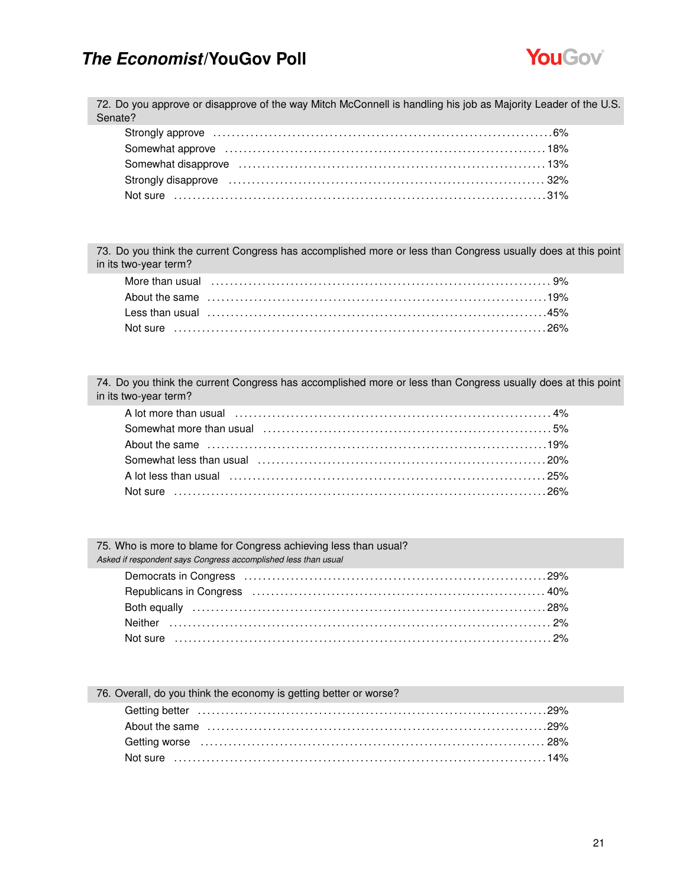

72. Do you approve or disapprove of the way Mitch McConnell is handling his job as Majority Leader of the U.S. Senate?

73. Do you think the current Congress has accomplished more or less than Congress usually does at this point in its two-year term?

74. Do you think the current Congress has accomplished more or less than Congress usually does at this point in its two-year term?

| A lot more than usual (a) contained a series and the series of the series of the series of the series of the s |  |
|----------------------------------------------------------------------------------------------------------------|--|
|                                                                                                                |  |
|                                                                                                                |  |
|                                                                                                                |  |
|                                                                                                                |  |
|                                                                                                                |  |

75. Who is more to blame for Congress achieving less than usual? *Asked if respondent says Congress accomplished less than usual*

| 76. Overall, do you think the economy is getting better or worse? |  |
|-------------------------------------------------------------------|--|
|                                                                   |  |
|                                                                   |  |
|                                                                   |  |
|                                                                   |  |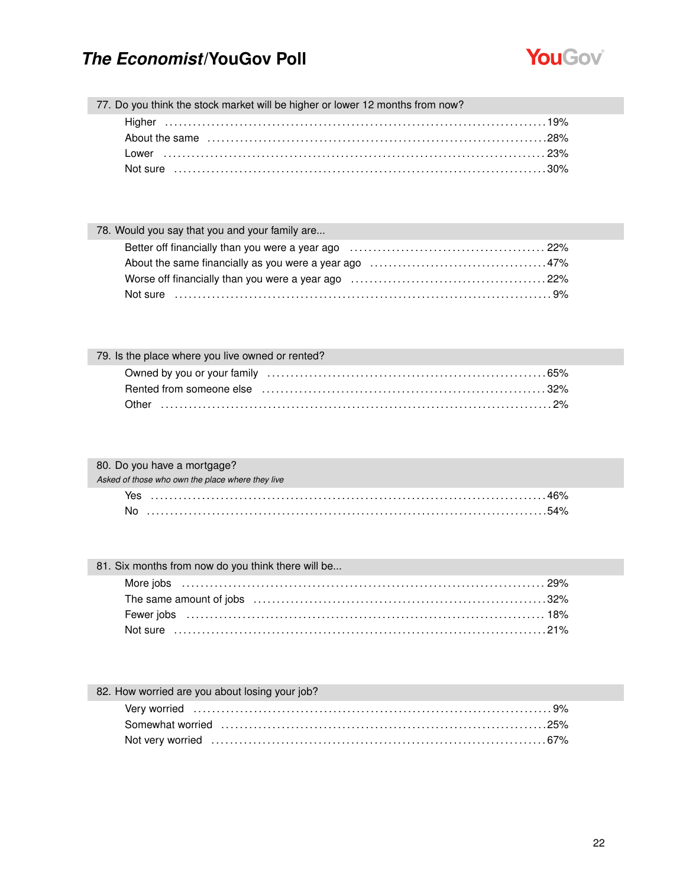

77. Do you think the stock market will be higher or lower 12 months from now?

| 78. Would you say that you and your family are |  |
|------------------------------------------------|--|
|                                                |  |
|                                                |  |
|                                                |  |
|                                                |  |

| 79. Is the place where you live owned or rented? |
|--------------------------------------------------|
|                                                  |
|                                                  |
|                                                  |

| 80. Do you have a mortgage?                      |
|--------------------------------------------------|
| Asked of those who own the place where they live |
| Yes .                                            |
| No.                                              |

| 81. Six months from now do you think there will be |  |
|----------------------------------------------------|--|
|                                                    |  |
|                                                    |  |
|                                                    |  |
|                                                    |  |

### 82. How worried are you about losing your job?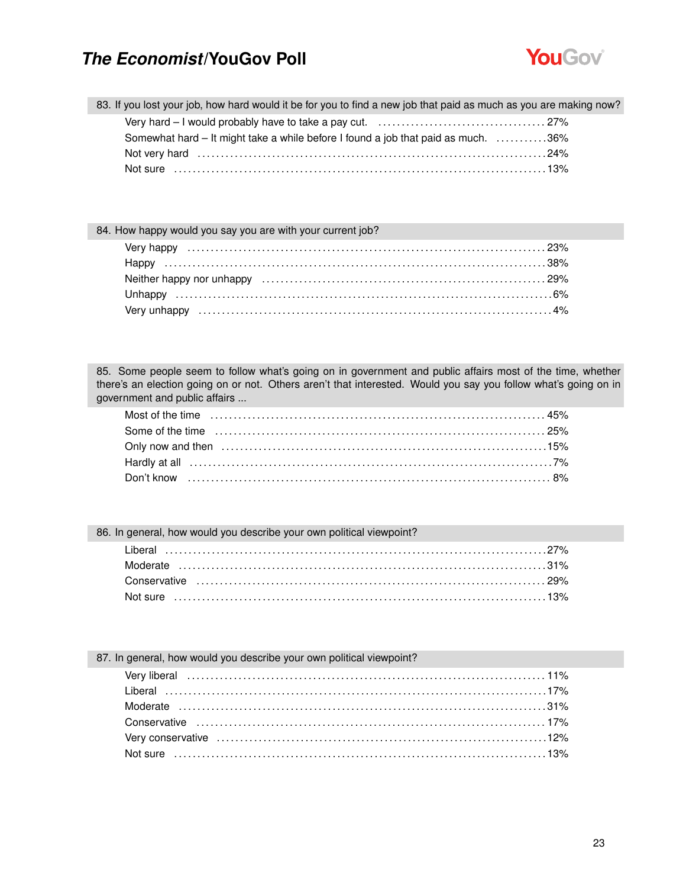

|  |  |  |  |  | 83. If you lost your job, how hard would it be for you to find a new job that paid as much as you are making now? |
|--|--|--|--|--|-------------------------------------------------------------------------------------------------------------------|
|--|--|--|--|--|-------------------------------------------------------------------------------------------------------------------|

| Somewhat hard – It might take a while before I found a job that paid as much. 36% |  |
|-----------------------------------------------------------------------------------|--|
|                                                                                   |  |
| Not sure ………………………………………………………………………………………13%                                     |  |

#### 84. How happy would you say you are with your current job?

85. Some people seem to follow what's going on in government and public affairs most of the time, whether there's an election going on or not. Others aren't that interested. Would you say you follow what's going on in government and public affairs ...

| 86. In general, how would you describe your own political viewpoint? |  |
|----------------------------------------------------------------------|--|
|                                                                      |  |
|                                                                      |  |
|                                                                      |  |
|                                                                      |  |
|                                                                      |  |

#### 87. In general, how would you describe your own political viewpoint?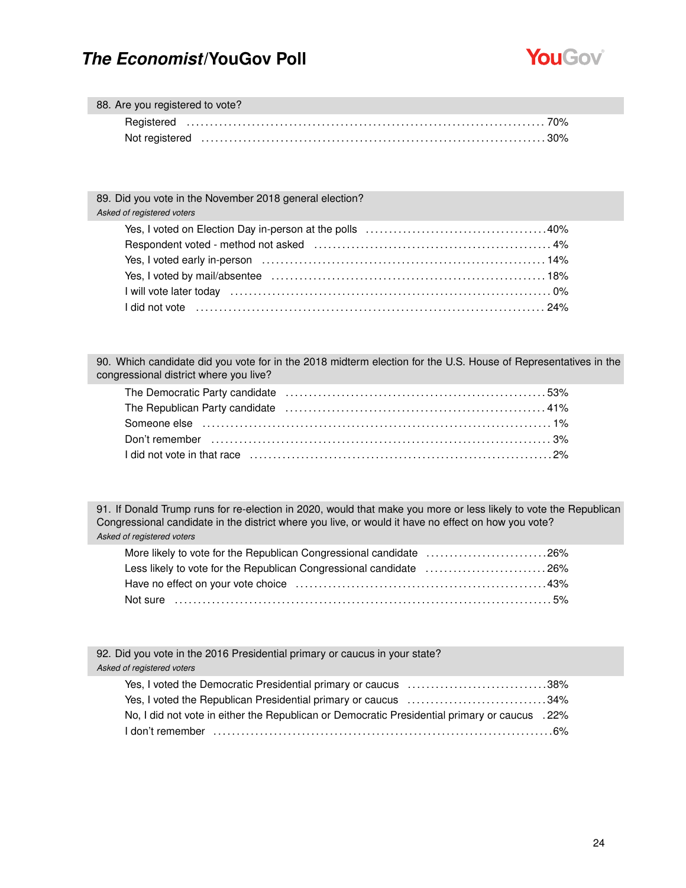

| 88. Are you registered to vote? |                                                                                                                 |
|---------------------------------|-----------------------------------------------------------------------------------------------------------------|
|                                 |                                                                                                                 |
|                                 | Not registered expansion contains a state of the contract of the contract of the state of the contract of the c |

| 89. Did you vote in the November 2018 general election? |  |
|---------------------------------------------------------|--|
| Asked of registered voters                              |  |
|                                                         |  |
|                                                         |  |
|                                                         |  |
|                                                         |  |
| l will vote later today ………………………………………………………………………… 0% |  |
|                                                         |  |
|                                                         |  |

90. Which candidate did you vote for in the 2018 midterm election for the U.S. House of Representatives in the congressional district where you live?

91. If Donald Trump runs for re-election in 2020, would that make you more or less likely to vote the Republican Congressional candidate in the district where you live, or would it have no effect on how you vote? *Asked of registered voters*

| More likely to vote for the Republican Congressional candidate 26% |  |
|--------------------------------------------------------------------|--|
| Less likely to vote for the Republican Congressional candidate 26% |  |
|                                                                    |  |
|                                                                    |  |

92. Did you vote in the 2016 Presidential primary or caucus in your state? *Asked of registered voters*

| Yes, I voted the Democratic Presidential primary or caucus 38%                                |  |
|-----------------------------------------------------------------------------------------------|--|
| Yes, I voted the Republican Presidential primary or caucus 34%                                |  |
| No, I did not vote in either the Republican or Democratic Presidential primary or caucus .22% |  |
|                                                                                               |  |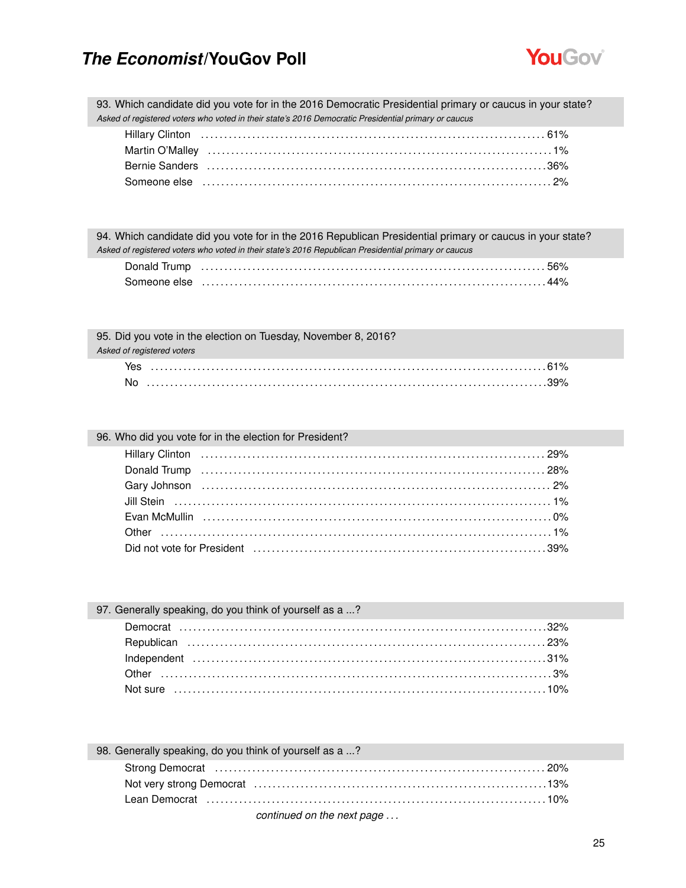

93. Which candidate did you vote for in the 2016 Democratic Presidential primary or caucus in your state? *Asked of registered voters who voted in their state's 2016 Democratic Presidential primary or caucus*

| Bernie Sanders (and the continuum control of the control of the control of the control of the control of the c |  |
|----------------------------------------------------------------------------------------------------------------|--|
|                                                                                                                |  |

| 94. Which candidate did you vote for in the 2016 Republican Presidential primary or caucus in your state? |
|-----------------------------------------------------------------------------------------------------------|
| Asked of registered voters who voted in their state's 2016 Republican Presidential primary or caucus      |
|                                                                                                           |
|                                                                                                           |

| 95. Did you vote in the election on Tuesday, November 8, 2016? |
|----------------------------------------------------------------|
| Asked of registered voters                                     |
|                                                                |
|                                                                |

#### 96. Who did you vote for in the election for President?

| 97. Generally speaking, do you think of yourself as a ? |  |
|---------------------------------------------------------|--|
|                                                         |  |
|                                                         |  |
|                                                         |  |
|                                                         |  |
|                                                         |  |

| 98. Generally speaking, do you think of yourself as a ? |  |
|---------------------------------------------------------|--|
|                                                         |  |
|                                                         |  |
|                                                         |  |
| continued on the next nego                              |  |

#### *continued on the next page . . .*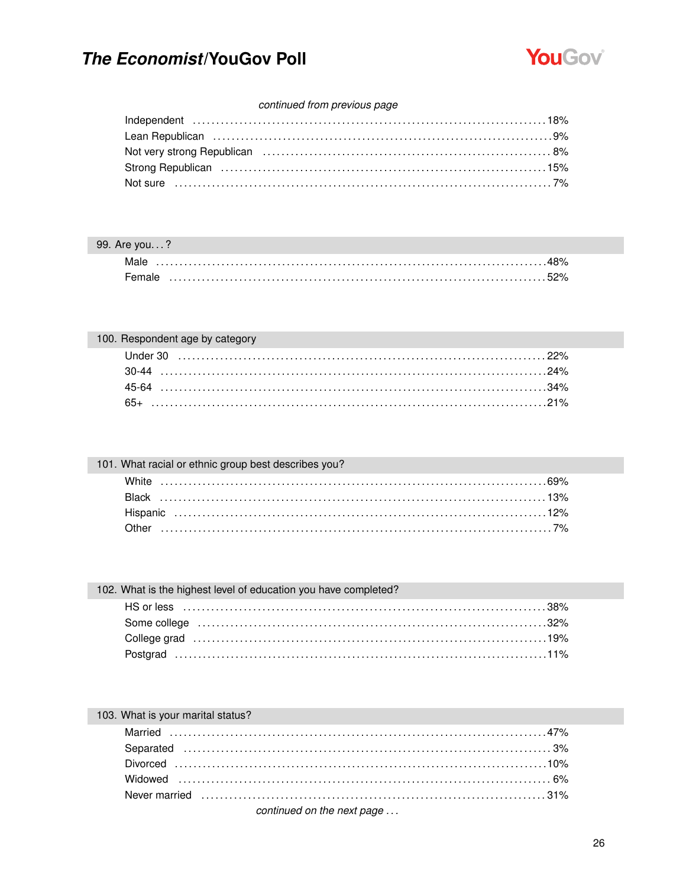

#### continued from previous page

| Lean Republican (and according to the set of the set of the set of the set of the set of the set of the set of                                                                                                                 |  |
|--------------------------------------------------------------------------------------------------------------------------------------------------------------------------------------------------------------------------------|--|
| 8% Not very strong Republican (and the content of the content of the content of the content of the content of the content of the content of the content of the content of the content of the content of the content of the con |  |
| Strong Republican (and the content of the strong Republican content of the content of the strong Republican                                                                                                                    |  |
|                                                                                                                                                                                                                                |  |
|                                                                                                                                                                                                                                |  |

#### 99. Are you...?

| Female |  |  |  |  |  |  |  |  |  |  |  |  |  |  |  |  |  |  |  |  |  |  |  |  |  |  |  |  |  |  |
|--------|--|--|--|--|--|--|--|--|--|--|--|--|--|--|--|--|--|--|--|--|--|--|--|--|--|--|--|--|--|--|

| 100. Respondent age by category |  |
|---------------------------------|--|
|                                 |  |
|                                 |  |
|                                 |  |
|                                 |  |

| 101. What racial or ethnic group best describes you? |  |
|------------------------------------------------------|--|
|                                                      |  |
|                                                      |  |
|                                                      |  |
|                                                      |  |

| 102. What is the highest level of education you have completed? |
|-----------------------------------------------------------------|
|                                                                 |
|                                                                 |
|                                                                 |
|                                                                 |

### 103. What is your marital status?

| continued on the next page |  |
|----------------------------|--|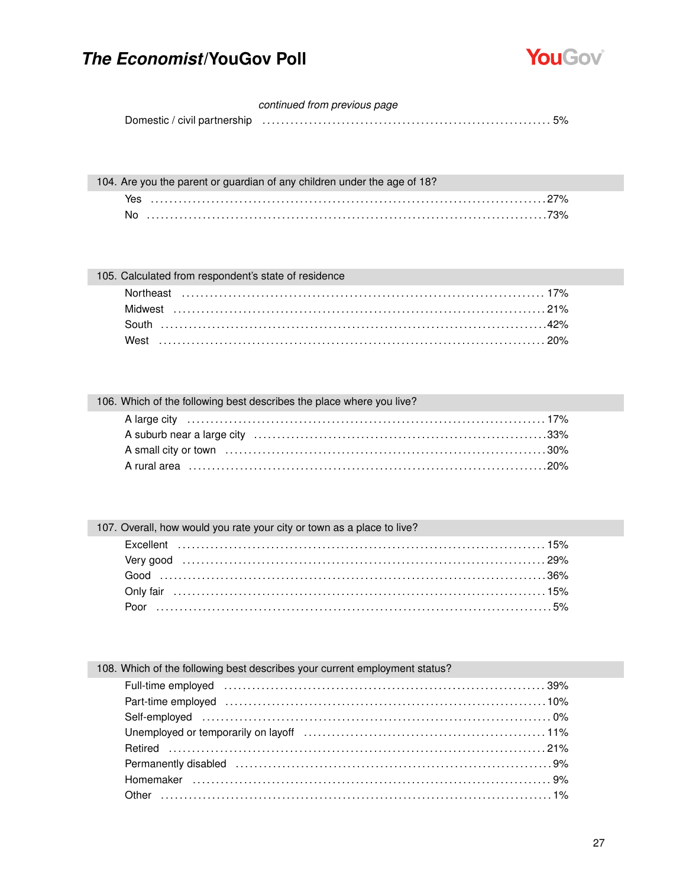

#### continued from previous page

|      | 104. Are you the parent or guardian of any children under the age of 18? |  |
|------|--------------------------------------------------------------------------|--|
| Yes. |                                                                          |  |
| No.  |                                                                          |  |

#### 105. Calculated from respondent's state of residence

#### 106. Which of the following best describes the place where you live?

#### 107. Overall, how would you rate your city or town as a place to live? Excellent

#### 108. Which of the following best describes your current employment status?

| Full-time employed (and the contract of the contract of the contract of the contract of the contract of the contract of the contract of the contract of the contract of the contract of the contract of the contract of the co |  |
|--------------------------------------------------------------------------------------------------------------------------------------------------------------------------------------------------------------------------------|--|
|                                                                                                                                                                                                                                |  |
|                                                                                                                                                                                                                                |  |
|                                                                                                                                                                                                                                |  |
|                                                                                                                                                                                                                                |  |
|                                                                                                                                                                                                                                |  |
|                                                                                                                                                                                                                                |  |
|                                                                                                                                                                                                                                |  |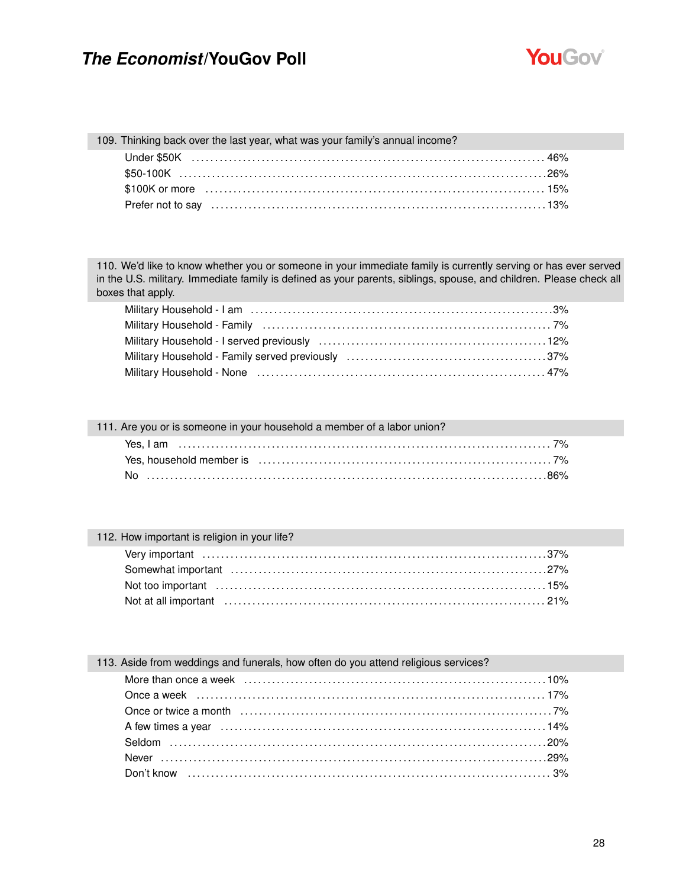

#### 109. Thinking back over the last year, what was your family's annual income?

110. We'd like to know whether you or someone in your immediate family is currently serving or has ever served in the U.S. military. Immediate family is defined as your parents, siblings, spouse, and children. Please check all boxes that apply.

| Military Household - Family (accordinational control control control control control control control control c |
|----------------------------------------------------------------------------------------------------------------|
|                                                                                                                |
|                                                                                                                |
|                                                                                                                |
|                                                                                                                |

#### 111. Are you or is someone in your household a member of a labor union?

#### 112. How important is religion in your life?

| Not at all important (a) contain the control of the control of the control of the control of the control of the control of the control of the control of the control of the control of the control of the control of the contr |  |
|--------------------------------------------------------------------------------------------------------------------------------------------------------------------------------------------------------------------------------|--|

#### 113. Aside from weddings and funerals, how often do you attend religious services?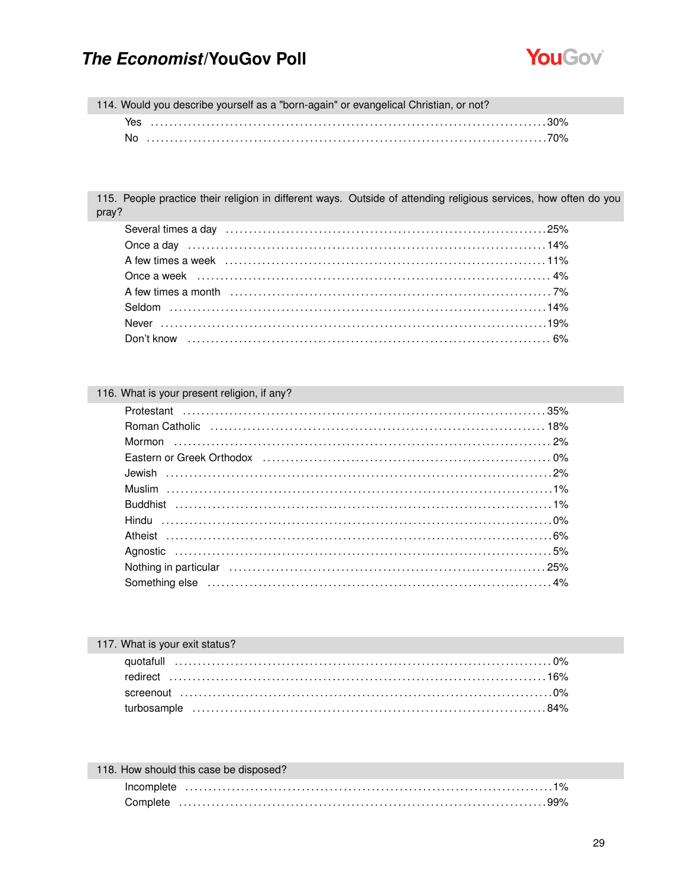

114. Would you describe yourself as a "born-again" or evangelical Christian, or not? 

115. People practice their religion in different ways. Outside of attending religious services, how often do you pray?

#### 116. What is your present religion, if any?

| Eastern or Greek Orthodox (and according to the control of the control of the control of the control of the control of the control of the control of the control of the control of the control of the control of the control o |  |
|--------------------------------------------------------------------------------------------------------------------------------------------------------------------------------------------------------------------------------|--|
|                                                                                                                                                                                                                                |  |
|                                                                                                                                                                                                                                |  |
|                                                                                                                                                                                                                                |  |
|                                                                                                                                                                                                                                |  |
|                                                                                                                                                                                                                                |  |
|                                                                                                                                                                                                                                |  |
|                                                                                                                                                                                                                                |  |
|                                                                                                                                                                                                                                |  |

| 117. What is your exit status? |  |
|--------------------------------|--|
|                                |  |
|                                |  |
|                                |  |
|                                |  |
|                                |  |

| 118. How should this case be disposed? |          |  |  |  |
|----------------------------------------|----------|--|--|--|
|                                        |          |  |  |  |
|                                        | Complete |  |  |  |